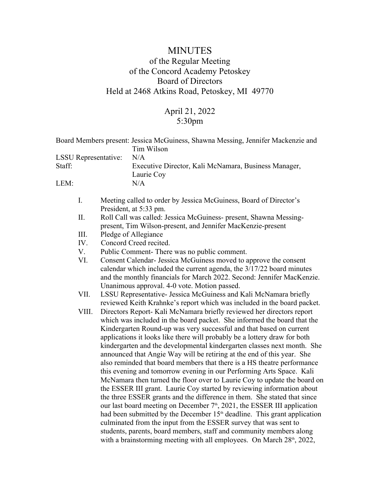## MINUTES of the Regular Meeting of the Concord Academy Petoskey Board of Directors Held at 2468 Atkins Road, Petoskey, MI 49770

## April 21, 2022 5:30pm

|                             | Board Members present: Jessica McGuiness, Shawna Messing, Jennifer Mackenzie and<br>Tim Wilson                                                                                                                                                                                                                                                                                                                                                                                                                                                                                                                                                                                                                                                                                                                                                                                                                                                                                                                                                                                                                                                                                                                                                                  |  |
|-----------------------------|-----------------------------------------------------------------------------------------------------------------------------------------------------------------------------------------------------------------------------------------------------------------------------------------------------------------------------------------------------------------------------------------------------------------------------------------------------------------------------------------------------------------------------------------------------------------------------------------------------------------------------------------------------------------------------------------------------------------------------------------------------------------------------------------------------------------------------------------------------------------------------------------------------------------------------------------------------------------------------------------------------------------------------------------------------------------------------------------------------------------------------------------------------------------------------------------------------------------------------------------------------------------|--|
| <b>LSSU</b> Representative: | N/A                                                                                                                                                                                                                                                                                                                                                                                                                                                                                                                                                                                                                                                                                                                                                                                                                                                                                                                                                                                                                                                                                                                                                                                                                                                             |  |
| Staff:                      | Executive Director, Kali McNamara, Business Manager,<br>Laurie Coy                                                                                                                                                                                                                                                                                                                                                                                                                                                                                                                                                                                                                                                                                                                                                                                                                                                                                                                                                                                                                                                                                                                                                                                              |  |
| LEM:                        | N/A                                                                                                                                                                                                                                                                                                                                                                                                                                                                                                                                                                                                                                                                                                                                                                                                                                                                                                                                                                                                                                                                                                                                                                                                                                                             |  |
| $I_{\cdot}$                 | Meeting called to order by Jessica McGuiness, Board of Director's<br>President, at 5:33 pm.                                                                                                                                                                                                                                                                                                                                                                                                                                                                                                                                                                                                                                                                                                                                                                                                                                                                                                                                                                                                                                                                                                                                                                     |  |
| II.                         | Roll Call was called: Jessica McGuiness- present, Shawna Messing-<br>present, Tim Wilson-present, and Jennifer MacKenzie-present                                                                                                                                                                                                                                                                                                                                                                                                                                                                                                                                                                                                                                                                                                                                                                                                                                                                                                                                                                                                                                                                                                                                |  |
| III.                        | Pledge of Allegiance                                                                                                                                                                                                                                                                                                                                                                                                                                                                                                                                                                                                                                                                                                                                                                                                                                                                                                                                                                                                                                                                                                                                                                                                                                            |  |
| IV.                         | Concord Creed recited.                                                                                                                                                                                                                                                                                                                                                                                                                                                                                                                                                                                                                                                                                                                                                                                                                                                                                                                                                                                                                                                                                                                                                                                                                                          |  |
| V.                          | Public Comment- There was no public comment.                                                                                                                                                                                                                                                                                                                                                                                                                                                                                                                                                                                                                                                                                                                                                                                                                                                                                                                                                                                                                                                                                                                                                                                                                    |  |
| VI.                         | Consent Calendar- Jessica McGuiness moved to approve the consent<br>calendar which included the current agenda, the 3/17/22 board minutes<br>and the monthly financials for March 2022. Second: Jennifer MacKenzie.<br>Unanimous approval. 4-0 vote. Motion passed.                                                                                                                                                                                                                                                                                                                                                                                                                                                                                                                                                                                                                                                                                                                                                                                                                                                                                                                                                                                             |  |
| VII.                        | LSSU Representative- Jessica McGuiness and Kali McNamara briefly<br>reviewed Keith Krahnke's report which was included in the board packet.                                                                                                                                                                                                                                                                                                                                                                                                                                                                                                                                                                                                                                                                                                                                                                                                                                                                                                                                                                                                                                                                                                                     |  |
| VIII.                       | Directors Report- Kali McNamara briefly reviewed her directors report<br>which was included in the board packet. She informed the board that the<br>Kindergarten Round-up was very successful and that based on current<br>applications it looks like there will probably be a lottery draw for both<br>kindergarten and the developmental kindergarten classes next month. She<br>announced that Angie Way will be retiring at the end of this year. She<br>also reminded that board members that there is a HS theatre performance<br>this evening and tomorrow evening in our Performing Arts Space. Kali<br>McNamara then turned the floor over to Laurie Coy to update the board on<br>the ESSER III grant. Laurie Coy started by reviewing information about<br>the three ESSER grants and the difference in them. She stated that since<br>our last board meeting on December 7 <sup>th</sup> , 2021, the ESSER III application<br>had been submitted by the December 15 <sup>th</sup> deadline. This grant application<br>culminated from the input from the ESSER survey that was sent to<br>students, parents, board members, staff and community members along<br>with a brainstorming meeting with all employees. On March 28 <sup>th</sup> , 2022, |  |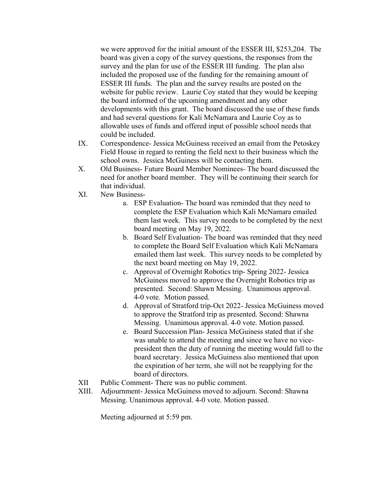we were approved for the initial amount of the ESSER III, \$253,204. The board was given a copy of the survey questions, the responses from the survey and the plan for use of the ESSER III funding. The plan also included the proposed use of the funding for the remaining amount of ESSER III funds. The plan and the survey results are posted on the website for public review. Laurie Coy stated that they would be keeping the board informed of the upcoming amendment and any other developments with this grant. The board discussed the use of these funds and had several questions for Kali McNamara and Laurie Coy as to allowable uses of funds and offered input of possible school needs that could be included.

- IX. Correspondence- Jessica McGuiness received an email from the Petoskey Field House in regard to renting the field next to their business which the school owns. Jessica McGuiness will be contacting them.
- X. Old Business- Future Board Member Nominees- The board discussed the need for another board member. They will be continuing their search for that individual.
- XI. New Business
	- a. ESP Evaluation- The board was reminded that they need to complete the ESP Evaluation which Kali McNamara emailed them last week. This survey needs to be completed by the next board meeting on May 19, 2022.
	- b. Board Self Evaluation- The board was reminded that they need to complete the Board Self Evaluation which Kali McNamara emailed them last week. This survey needs to be completed by the next board meeting on May 19, 2022.
	- c. Approval of Overnight Robotics trip- Spring 2022- Jessica McGuiness moved to approve the Overnight Robotics trip as presented. Second: Shawn Messing. Unanimous approval. 4-0 vote. Motion passed.
	- d. Approval of Stratford trip-Oct 2022- Jessica McGuiness moved to approve the Stratford trip as presented. Second: Shawna Messing. Unanimous approval. 4-0 vote. Motion passed.
	- e. Board Succession Plan- Jessica McGuiness stated that if she was unable to attend the meeting and since we have no vicepresident then the duty of running the meeting would fall to the board secretary. Jessica McGuiness also mentioned that upon the expiration of her term, she will not be reapplying for the board of directors.
- XII Public Comment- There was no public comment.
- XIII. Adjournment- Jessica McGuiness moved to adjourn. Second: Shawna Messing. Unanimous approval. 4-0 vote. Motion passed.

Meeting adjourned at 5:59 pm.